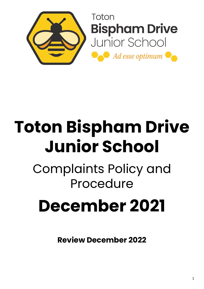

# **Toton Bispham Drive Junior School**

## Complaints Policy and Procedure

## **December 2021**

**Review December 2022**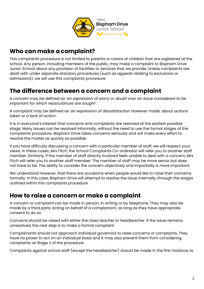

#### **Who can make a complaint?**

This complaints procedure is not limited to parents or carers of children that are registered at the school. Any person, including members of the public, may make a complaint to Bispham Drive Junior School about any provision of facilities or services that we provide. Unless complaints are dealt with under separate statutory procedures (such as appeals relating to exclusions or admissions), we will use this complaints procedure.

#### **The difference between a concern and a complaint**

A concern may be defined as '*an expression of worry or doubt over an issue considered to be important for which reassurances are sought'*.

A complaint may be defined as '*an expression of dissatisfaction however made, about actions taken or a lack of action*'.

It is in everyone's interest that concerns and complaints are resolved at the earliest possible stage. Many issues can be resolved informally, without the need to use the formal stages of the complaints procedure. Bispham Drive takes concerns seriously and will make every effort to resolve the matter as quickly as possible.

If you have difficulty discussing a concern with a particular member of staff, we will respect your views. In these cases, Mrs Fitch, the School Complaints Co-ordinator will refer you to another staff member. Similarly, if the member of staff directly involved feels unable to deal with a concern, Mrs Fitch will refer you to another staff member. The member of staff may be more senior but does not have to be. The ability to consider the concern objectively and impartially is more important.

We understand however, that there are occasions when people would like to raise their concerns formally. In this case, Bispham Drive will attempt to resolve the issue internally, through the stages outlined within this complaints procedure.

#### **How to raise a concern or make a complaint**

A concern or complaint can be made in person, in writing or by telephone. They may also be made by a third party acting on behalf of a complainant, as long as they have appropriate consent to do so.

Concerns should be raised with either the class teacher or headteacher. If the issue remains unresolved, the next step is to make a formal complaint.

Complainants should not approach individual governors to raise concerns or complaints. They have no power to act on an individual basis and it may also prevent them from considering complaints at Stage 2 of the procedure.

Complaints against school staff (except the headteacher) should be made in the first instance, to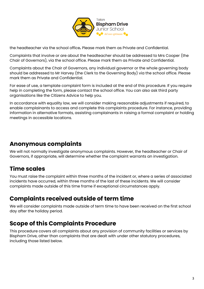

the headteacher via the school office*.* Please mark them as Private and Confidential.

Complaints that involve or are about the headteacher should be addressed to Mrs Cooper (the Chair of Governors), via the school office. Please mark them as Private and Confidential.

Complaints about the Chair of Governors, any individual governor or the whole governing body should be addressed to Mr Harvey (the Clerk to the Governing Body) via the school office. Please mark them as Private and Confidential.

For ease of use, a template complaint form is included at the end of this procedure. If you require help in completing the form, please contact the school office. You can also ask third party organisations like the Citizens Advice to help you.

In accordance with equality law, we will consider making reasonable adjustments if required, to enable complainants to access and complete this complaints procedure. For instance, providing information in alternative formats, assisting complainants in raising a formal complaint or holding meetings in accessible locations.

#### **Anonymous complaints**

We will not normally investigate anonymous complaints. However, the headteacher or Chair of Governors, if appropriate, will determine whether the complaint warrants an investigation.

## **Time scales**

You must raise the complaint within three months of the incident or, where a series of associated incidents have occurred, within three months of the last of these incidents. We will consider complaints made outside of this time frame if exceptional circumstances apply.

#### **Complaints received outside of term time**

We will consider complaints made outside of term time to have been received on the first school day after the holiday period.

#### **Scope of this Complaints Procedure**

This procedure covers all complaints about any provision of community facilities or services by Bispham Drive, other than complaints that are dealt with under other statutory procedures, including those listed below.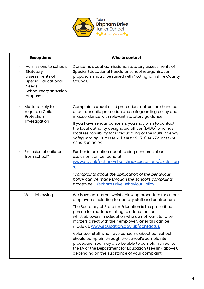

| <b>Exceptions</b>                                                                                                                        | Who to contact                                                                                                                                                                                                                                                              |
|------------------------------------------------------------------------------------------------------------------------------------------|-----------------------------------------------------------------------------------------------------------------------------------------------------------------------------------------------------------------------------------------------------------------------------|
| Admissions to schools<br>Statutory<br>assessments of<br><b>Special Educational</b><br><b>Needs</b><br>School reorganisation<br>proposals | Concerns about admissions, statutory assessments of<br>Special Educational Needs, or school reorganisation<br>proposals should be raised with Nottinghamshire County<br>Council.                                                                                            |
| Matters likely to<br>require a Child<br>Protection<br>Investigation                                                                      | Complaints about child protection matters are handled<br>under our child protection and safeguarding policy and<br>in accordance with relevant statutory guidance.                                                                                                          |
|                                                                                                                                          | If you have serious concerns, you may wish to contact<br>the local authority designated officer (LADO) who has<br>local responsibility for safeguarding or the Multi-Agency<br>Safeguarding Hub (MASH). LADO 0115-8041272 or MASH<br>0300 500 80 90                         |
| <b>Exclusion of children</b><br>from school*                                                                                             | Further information about raising concerns about<br>exclusion can be found at:<br>www.gov.uk/school-discipline-exclusions/exclusion<br><u>s</u> .                                                                                                                           |
|                                                                                                                                          | *complaints about the application of the behaviour<br>policy can be made through the school's complaints<br>procedure. Bispham Drive Behaviour Policy                                                                                                                       |
| Whistleblowing                                                                                                                           | We have an internal whistleblowing procedure for all our<br>employees, including temporary staff and contractors.                                                                                                                                                           |
|                                                                                                                                          | The Secretary of State for Education is the prescribed<br>person for matters relating to education for<br>whistleblowers in education who do not want to raise<br>matters direct with their employer. Referrals can be<br>made at: www.education.gov.uk/contactus.          |
|                                                                                                                                          | Volunteer staff who have concerns about our school<br>should complain through the school's complaints<br>procedure. You may also be able to complain direct to<br>the LA or the Department for Education (see link above),<br>depending on the substance of your complaint. |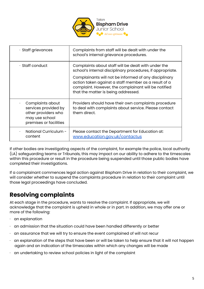

| $\cdot$ Staff grievances                                                                                                 | Complaints from staff will be dealt with under the<br>school's internal grievance procedures.                                                                                                                                                                                                                                     |
|--------------------------------------------------------------------------------------------------------------------------|-----------------------------------------------------------------------------------------------------------------------------------------------------------------------------------------------------------------------------------------------------------------------------------------------------------------------------------|
| $\cdot$ Staff conduct                                                                                                    | Complaints about staff will be dealt with under the<br>school's internal disciplinary procedures, if appropriate.<br>Complainants will not be informed of any disciplinary<br>action taken against a staff member as a result of a<br>complaint. However, the complainant will be notified<br>that the matter is being addressed. |
| Complaints about<br>$\bullet$<br>services provided by<br>other providers who<br>may use school<br>premises or facilities | Providers should have their own complaints procedure<br>to deal with complaints about service. Please contact<br>them direct.                                                                                                                                                                                                     |
| National Curriculum -<br>content                                                                                         | Please contact the Department for Education at:<br>www.education.gov.uk/contactus                                                                                                                                                                                                                                                 |

If other bodies are investigating aspects of the complaint, for example the police, local authority (LA) safeguarding teams or Tribunals, this may impact on our ability to adhere to the timescales within this procedure or result in the procedure being suspended until those public bodies have completed their investigations.

If a complainant commences legal action against Bispham Drive in relation to their complaint, we will consider whether to suspend the complaints procedure in relation to their complaint until those legal proceedings have concluded.

## **Resolving complaints**

At each stage in the procedure, wants to resolve the complaint. If appropriate, we will acknowledge that the complaint is upheld in whole or in part. In addition, we may offer one or more of the following:

- an explanation
- an admission that the situation could have been handled differently or better
- an assurance that we will try to ensure the event complained of will not recur
- $\cdot$  an explanation of the steps that have been or will be taken to help ensure that it will not happen again and an indication of the timescales within which any changes will be made
- $\cdot$  an undertaking to review school policies in light of the complaint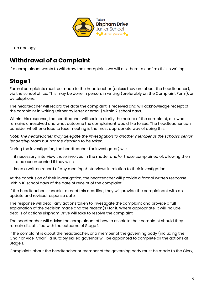

· an apology.

## **Withdrawal of a Complaint**

If a complainant wants to withdraw their complaint, we will ask them to confirm this in writing.

### **Stage 1**

Formal complaints must be made to the headteacher (unless they are about the headteacher), via the school office. This may be done in person, in writing (preferably on the Complaint Form), or by telephone.

The headteacher will record the date the complaint is received and will acknowledge receipt of the complaint in writing (either by letter or email) within 2 school days.

Within this response, the headteacher will seek to clarify the nature of the complaint, ask what remains unresolved and what outcome the complainant would like to see. The headteacher can consider whether a face to face meeting is the most appropriate way of doing this.

*Note: The headteacher may delegate the investigation to another member of the school's senior leadership team but not the decision to be taken.*

During the investigation, the headteacher (or investigator) will:

- $\cdot$  if necessary, interview those involved in the matter and/or those complained of, allowing them to be accompanied if they wish
- keep a written record of any meetings/interviews in relation to their investigation.

At the conclusion of their investigation, the headteacher will provide a formal written response within 10 school days of the date of receipt of the complaint.

If the headteacher is unable to meet this deadline, they will provide the complainant with an update and revised response date.

The response will detail any actions taken to investigate the complaint and provide a full explanation of the decision made and the reason(s) for it. Where appropriate, it will include details of actions Bispham Drive will take to resolve the complaint.

The headteacher will advise the complainant of how to escalate their complaint should they remain dissatisfied with the outcome of Stage 1.

If the complaint is about the headteacher, or a member of the governing body (including the Chair or Vice-Chair), a suitably skilled governor will be appointed to complete all the actions at Stage 1.

Complaints about the headteacher or member of the governing body must be made to the Clerk,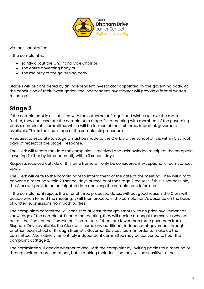

via the school office.

If the complaint is:

- jointly about the Chair and Vice Chair or
- the entire governing body or
- the majority of the governing body

Stage 1 will be considered by an independent investigator appointed by the governing body. At the conclusion of their investigation, the independent investigator will provide a formal written response.

#### **Stage 2**

If the complainant is dissatisfied with the outcome at Stage 1 and wishes to take the matter further, they can escalate the complaint to Stage 2 – a meeting with members of the governing body's complaints committee, which will be formed of the first three, impartial, governors available. This is the final stage of the complaints procedure.

A request to escalate to Stage 2 must be made to the Clerk, via the school office, within 5 school days of receipt of the Stage 1 response.

The Clerk will record the date the complaint is received and acknowledge receipt of the complaint in writing (either by letter or email) within 3 school days.

Requests received outside of this time frame will only be considered if exceptional circumstances apply.

The Clerk will write to the complainant to inform them of the date of the meeting. They will aim to convene a meeting within 20 school days of receipt of the Stage 2 request. If this is not possible, the Clerk will provide an anticipated date and keep the complainant informed.

If the complainant rejects the offer of three proposed dates, without good reason, the Clerk will decide when to hold the meeting. It will then proceed in the complainant's absence on the basis of written submissions from both parties.

The complaints committee will consist of at least three governors with no prior involvement or knowledge of the complaint. Prior to the meeting, they will decide amongst themselves who will act as the Chair of the Complaints Committee. If there are fewer than three governors from Bispham Drive available, the Clerk will source any additional, independent governors through another local school or through their LA's Governor Services team, in order to make up the committee. Alternatively, an entirely independent committee may be convened to hear the complaint at Stage 2.

The committee will decide whether to deal with the complaint by inviting parties to a meeting or through written representations, but in making their decision they will be sensitive to the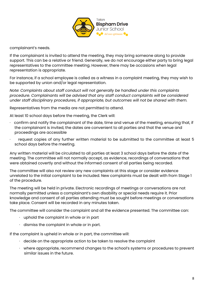

complainant's needs.

If the complainant is invited to attend the meeting, they may bring someone along to provide support. This can be a relative or friend. Generally, we do not encourage either party to bring legal representatives to the committee meeting. However, there may be occasions when legal representation is appropriate.

For instance, if a school employee is called as a witness in a complaint meeting, they may wish to be supported by union and/or legal representation.

*Note: Complaints about staff conduct will not generally be handled under this complaints procedure. Complainants will be advised that any staff conduct complaints will be considered under staff disciplinary procedures, if appropriate, but outcomes will not be shared with them.*

Representatives from the media are not permitted to attend.

At least 10 school days before the meeting, the Clerk will:

- · confirm and notify the complainant of the date, time and venue of the meeting, ensuring that, if the complainant is invited, the dates are convenient to all parties and that the venue and proceedings are accessible
- request copies of any further written material to be submitted to the committee at least 5 school days before the meeting.

Any written material will be circulated to all parties at least 3 school days before the date of the meeting. The committee will not normally accept, as evidence, recordings of conversations that were obtained covertly and without the informed consent of all parties being recorded.

The committee will also not review any new complaints at this stage or consider evidence unrelated to the initial complaint to be included. New complaints must be dealt with from Stage 1 of the procedure.

The meeting will be held in private. Electronic recordings of meetings or conversations are not normally permitted unless a complainant's own disability or special needs require it. Prior knowledge and consent of all parties attending must be sought before meetings or conversations take place. Consent will be recorded in any minutes taken.

The committee will consider the complaint and all the evidence presented. The committee can:

- $\cdot$  uphold the complaint in whole or in part
- $\cdot$  dismiss the complaint in whole or in part.

If the complaint is upheld in whole or in part, the committee will:

- $\cdot$  decide on the appropriate action to be taken to resolve the complaint
- · where appropriate, recommend changes to the school's systems or procedures to prevent similar issues in the future.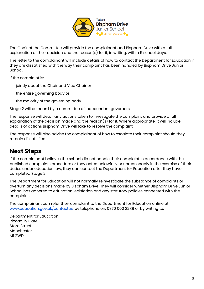

The Chair of the Committee will provide the complainant and Bispham Drive with a full explanation of their decision and the reason(s) for it, in writing, within 5 school days.

The letter to the complainant will include details of how to contact the Department for Education if they are dissatisfied with the way their complaint has been handled by Bispham Drive Junior School.

If the complaint is:

- · jointly about the Chair and Vice Chair or
- · the entire governing body or
- the majority of the governing body

Stage 2 will be heard by a committee of independent governors.

The response will detail any actions taken to investigate the complaint and provide a full explanation of the decision made and the reason(s) for it. Where appropriate, it will include details of actions Bispham Drive will take to resolve the complaint.

The response will also advise the complainant of how to escalate their complaint should they remain dissatisfied.

#### **Next Steps**

If the complainant believes the school did not handle their complaint in accordance with the published complaints procedure or they acted unlawfully or unreasonably in the exercise of their duties under education law, they can contact the Department for Education after they have completed Stage 2.

The Department for Education will not normally reinvestigate the substance of complaints or overturn any decisions made by Bispham Drive. They will consider whether Bispham Drive Junior School has adhered to education legislation and any statutory policies connected with the complaint.

The complainant can refer their complaint to the Department for Education online at: [www.education.gov.uk/contactus,](http://www.education.gov.uk/contactus) by telephone on: 0370 000 2288 or by writing to:

Department for Education Piccadilly Gate Store Street Manchester M1 2WD.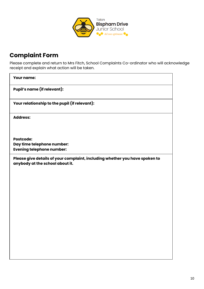

## **Complaint Form**

Please complete and return to Mrs Fitch, School Complaints Co-ordinator who will acknowledge receipt and explain what action will be taken.

| <b>Your name:</b>                                                                                              |
|----------------------------------------------------------------------------------------------------------------|
| <b>Pupil's name (if relevant):</b>                                                                             |
| Your relationship to the pupil (if relevant):                                                                  |
| <b>Address:</b>                                                                                                |
| <b>Postcode:</b>                                                                                               |
| Day time telephone number:<br><b>Evening telephone number:</b>                                                 |
| Please give details of your complaint, including whether you have spoken to<br>anybody at the school about it. |
|                                                                                                                |
|                                                                                                                |
|                                                                                                                |
|                                                                                                                |
|                                                                                                                |
|                                                                                                                |
|                                                                                                                |

٦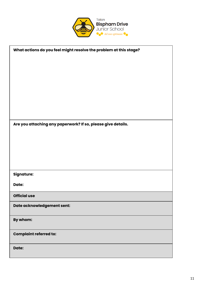

| What actions do you feel might resolve the problem at this stage? |  |  |
|-------------------------------------------------------------------|--|--|
|                                                                   |  |  |
|                                                                   |  |  |
|                                                                   |  |  |
|                                                                   |  |  |
|                                                                   |  |  |
|                                                                   |  |  |
|                                                                   |  |  |
| Are you attaching any paperwork? If so, please give details.      |  |  |
|                                                                   |  |  |
|                                                                   |  |  |
|                                                                   |  |  |
|                                                                   |  |  |
|                                                                   |  |  |
| Signature:                                                        |  |  |
| Date:                                                             |  |  |
| <b>Official use</b>                                               |  |  |
| Date acknowledgement sent:                                        |  |  |
| By whom:                                                          |  |  |
| <b>Complaint referred to:</b>                                     |  |  |
| Date:                                                             |  |  |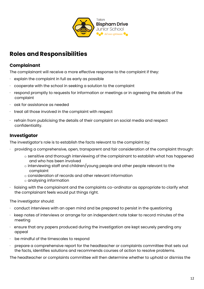

## **Roles and Responsibilities**

#### **Complainant**

The complainant will receive a more effective response to the complaint if they:

- $\cdot$  explain the complaint in full as early as possible
- · cooperate with the school in seeking a solution to the complaint
- respond promptly to requests for information or meetings or in agreeing the details of the complaint
- ask for assistance as needed
- treat all those involved in the complaint with respect
- $\cdot$  refrain from publicising the details of their complaint on social media and respect confidentiality.

#### **Investigator**

The investigator's role is to establish the facts relevant to the complaint by:

- providing a comprehensive, open, transparent and fair consideration of the complaint through:
	- o sensitive and thorough interviewing of the complainant to establish what has happened and who has been involved
	- o interviewing staff and children/young people and other people relevant to the complaint
	- o consideration of records and other relevant information
	- o analysing information
- · liaising with the complainant and the complaints co-ordinator as appropriate to clarify what the complainant feels would put things right.

The investigator should:

- · conduct interviews with an open mind and be prepared to persist in the questioning
- · keep notes of interviews or arrange for an independent note taker to record minutes of the meeting
- ensure that any papers produced during the investigation are kept securely pending any appeal
- be mindful of the timescales to respond
- · prepare a comprehensive report for the headteacher or complaints committee that sets out the facts, identifies solutions and recommends courses of action to resolve problems.

The headteacher or complaints committee will then determine whether to uphold or dismiss the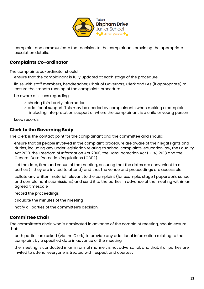

complaint and communicate that decision to the complainant, providing the appropriate escalation details.

#### **Complaints Co-ordinator**

The complaints co-ordinator should:

- ensure that the complainant is fully updated at each stage of the procedure
- · liaise with staff members, headteacher, Chair of Governors, Clerk and LAs (if appropriate) to ensure the smooth running of the complaints procedure
- · be aware of issues regarding:
	- o sharing third party information
	- o additional support. This may be needed by complainants when making a complaint including interpretation support or where the complainant is a child or young person
- · keep records.

#### **Clerk to the Governing Body**

The Clerk is the contact point for the complainant and the committee and should:

- $\cdot$  ensure that all people involved in the complaint procedure are aware of their legal rights and duties, including any under legislation relating to school complaints, education law, the Equality Act 2010, the Freedom of Information Act 2000, the Data Protection Act (DPA) 2018 and the General Data Protection Regulations (GDPR)
- set the date, time and venue of the meeting, ensuring that the dates are convenient to all parties (if they are invited to attend) and that the venue and proceedings are accessible
- · collate any written material relevant to the complaint (for example; stage 1 paperwork, school and complainant submissions) and send it to the parties in advance of the meeting within an agreed timescale
- record the proceedings
- circulate the minutes of the meeting
- notify all parties of the committee's decision.

#### **Committee Chair**

The committee's chair, who is nominated in advance of the complaint meeting, should ensure that:

- $\cdot$  both parties are asked (via the Clerk) to provide any additional information relating to the complaint by a specified date in advance of the meeting
- $\cdot$  the meeting is conducted in an informal manner, is not adversarial, and that, if all parties are invited to attend, everyone is treated with respect and courtesy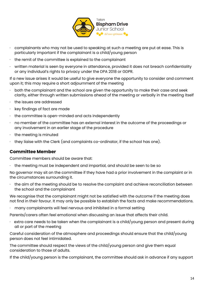

- $\cdot$  complainants who may not be used to speaking at such a meeting are put at ease. This is particularly important if the complainant is a child/young person
- the remit of the committee is explained to the complainant
- written material is seen by everyone in attendance, provided it does not breach confidentiality or any individual's rights to privacy under the DPA 2018 or GDPR.

If a new issue arises it would be useful to give everyone the opportunity to consider and comment upon it; this may require a short adjournment of the meeting

- $\cdot$  both the complainant and the school are given the opportunity to make their case and seek clarity, either through written submissions ahead of the meeting or verbally in the meeting itself
- the issues are addressed
- key findings of fact are made
- the committee is open-minded and acts independently
- · no member of the committee has an external interest in the outcome of the proceedings or any involvement in an earlier stage of the procedure
- the meeting is minuted
- · they liaise with the Clerk (and complaints co-ordinator, if the school has one).

#### **Committee Member**

Committee members should be aware that:

· the meeting must be independent and impartial, and should be seen to be so

No governor may sit on the committee if they have had a prior involvement in the complaint or in the circumstances surrounding it.

the aim of the meeting should be to resolve the complaint and achieve reconciliation between the school and the complainant

We recognise that the complainant might not be satisfied with the outcome if the meeting does not find in their favour. It may only be possible to establish the facts and make recommendations.

· many complainants will feel nervous and inhibited in a formal setting

Parents/carers often feel emotional when discussing an issue that affects their child.

 $\cdot$  extra care needs to be taken when the complainant is a child/young person and present during all or part of the meeting

Careful consideration of the atmosphere and proceedings should ensure that the child/young person does not feel intimidated.

The committee should respect the views of the child/young person and give them equal consideration to those of adults.

If the child/young person is the complainant, the committee should ask in advance if any support